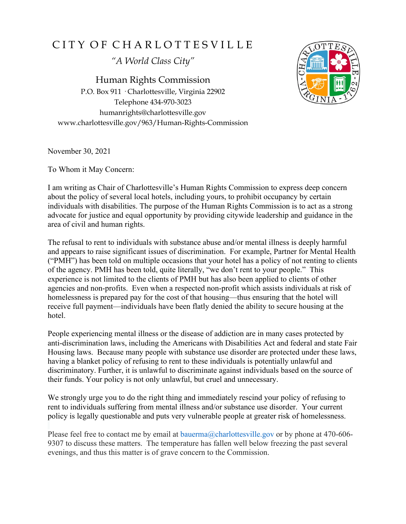## CITY OF CHARLOTTESVILLE

*"A World Class City"*

Human Rights Commission P.O. Box 911 · Charlottesville, Virginia 22902 Telephone 434-970-3023 humanrights@charlottesville.gov www.charlottesville.gov/963/Human-Rights-Commission



November 30, 2021

To Whom it May Concern:

I am writing as Chair of Charlottesville's Human Rights Commission to express deep concern about the policy of several local hotels, including yours, to prohibit occupancy by certain individuals with disabilities. The purpose of the Human Rights Commission is to act as a strong advocate for justice and equal opportunity by providing citywide leadership and guidance in the area of civil and human rights.

The refusal to rent to individuals with substance abuse and/or mental illness is deeply harmful and appears to raise significant issues of discrimination. For example, Partner for Mental Health ("PMH") has been told on multiple occasions that your hotel has a policy of not renting to clients of the agency. PMH has been told, quite literally, "we don't rent to your people." This experience is not limited to the clients of PMH but has also been applied to clients of other agencies and non-profits. Even when a respected non-profit which assists individuals at risk of homelessness is prepared pay for the cost of that housing—thus ensuring that the hotel will receive full payment—individuals have been flatly denied the ability to secure housing at the hotel.

People experiencing mental illness or the disease of addiction are in many cases protected by anti-discrimination laws, including the Americans with Disabilities Act and federal and state Fair Housing laws. Because many people with substance use disorder are protected under these laws, having a blanket policy of refusing to rent to these individuals is potentially unlawful and discriminatory. Further, it is unlawful to discriminate against individuals based on the source of their funds. Your policy is not only unlawful, but cruel and unnecessary.

We strongly urge you to do the right thing and immediately rescind your policy of refusing to rent to individuals suffering from mental illness and/or substance use disorder. Your current policy is legally questionable and puts very vulnerable people at greater risk of homelessness.

Please feel free to contact me by email at bauerma@charlottesville.gov or by phone at 470-606-9307 to discuss these matters. The temperature has fallen well below freezing the past several evenings, and thus this matter is of grave concern to the Commission.